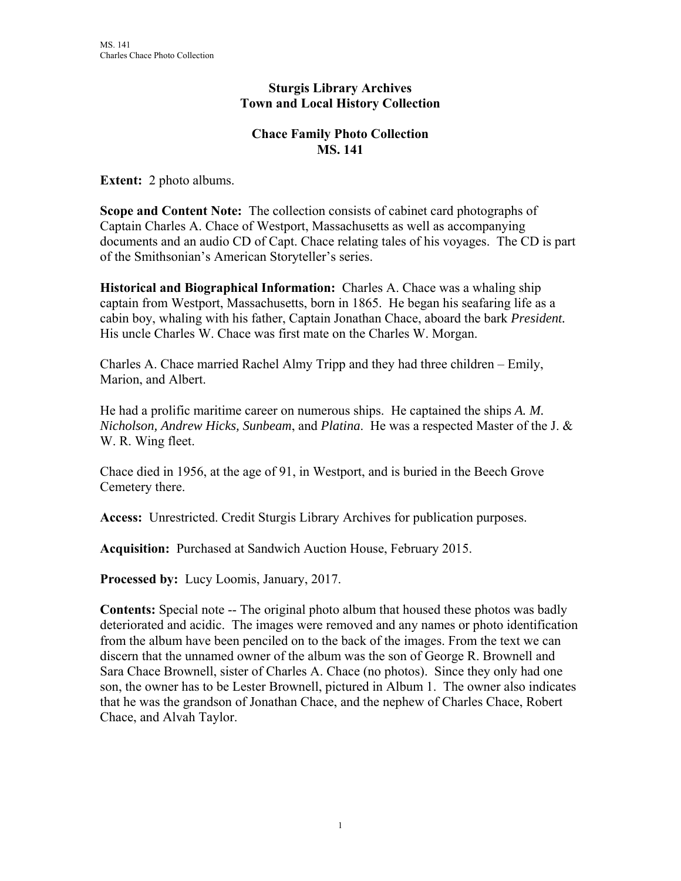#### **Sturgis Library Archives Town and Local History Collection**

#### **Chace Family Photo Collection MS. 141**

**Extent:** 2 photo albums.

**Scope and Content Note:** The collection consists of cabinet card photographs of Captain Charles A. Chace of Westport, Massachusetts as well as accompanying documents and an audio CD of Capt. Chace relating tales of his voyages. The CD is part of the Smithsonian's American Storyteller's series.

**Historical and Biographical Information:** Charles A. Chace was a whaling ship captain from Westport, Massachusetts, born in 1865. He began his seafaring life as a cabin boy, whaling with his father, Captain Jonathan Chace, aboard the bark *President.* His uncle Charles W. Chace was first mate on the Charles W. Morgan.

Charles A. Chace married Rachel Almy Tripp and they had three children – Emily, Marion, and Albert.

He had a prolific maritime career on numerous ships. He captained the ships *A. M. Nicholson, Andrew Hicks, Sunbeam*, and *Platina*. He was a respected Master of the J. & W. R. Wing fleet.

Chace died in 1956, at the age of 91, in Westport, and is buried in the Beech Grove Cemetery there.

**Access:** Unrestricted. Credit Sturgis Library Archives for publication purposes.

**Acquisition:** Purchased at Sandwich Auction House, February 2015.

**Processed by:** Lucy Loomis, January, 2017.

**Contents:** Special note -- The original photo album that housed these photos was badly deteriorated and acidic. The images were removed and any names or photo identification from the album have been penciled on to the back of the images. From the text we can discern that the unnamed owner of the album was the son of George R. Brownell and Sara Chace Brownell, sister of Charles A. Chace (no photos). Since they only had one son, the owner has to be Lester Brownell, pictured in Album 1. The owner also indicates that he was the grandson of Jonathan Chace, and the nephew of Charles Chace, Robert Chace, and Alvah Taylor.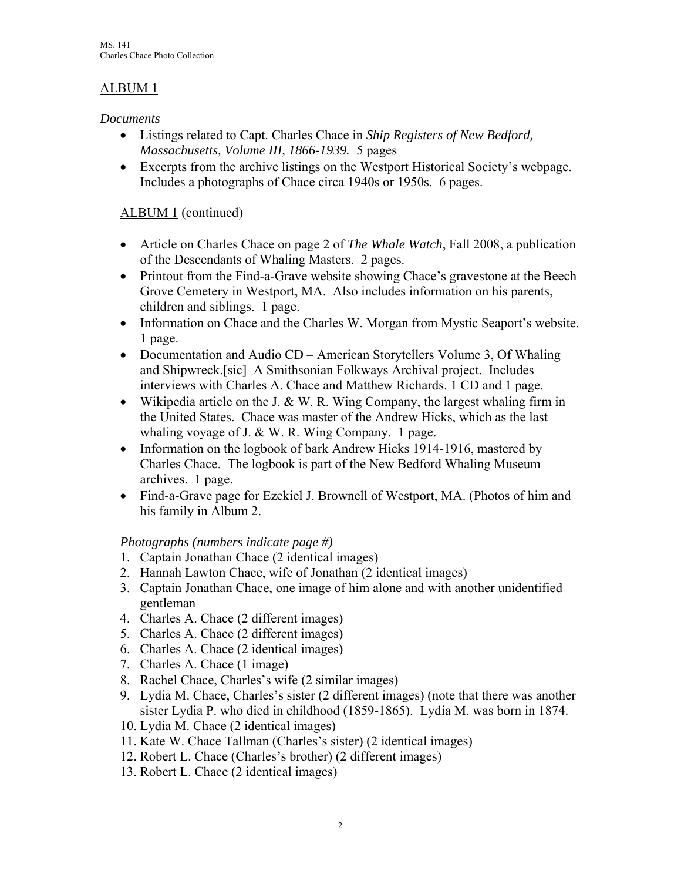# ALBUM 1

### *Documents*

- Listings related to Capt. Charles Chace in *Ship Registers of New Bedford, Massachusetts, Volume III, 1866-1939.* 5 pages
- Excerpts from the archive listings on the Westport Historical Society's webpage. Includes a photographs of Chace circa 1940s or 1950s. 6 pages.

## ALBUM 1 (continued)

- Article on Charles Chace on page 2 of *The Whale Watch*, Fall 2008, a publication of the Descendants of Whaling Masters. 2 pages.
- Printout from the Find-a-Grave website showing Chace's gravestone at the Beech Grove Cemetery in Westport, MA. Also includes information on his parents, children and siblings. 1 page.
- Information on Chace and the Charles W. Morgan from Mystic Seaport's website. 1 page.
- Documentation and Audio CD American Storytellers Volume 3, Of Whaling and Shipwreck.[sic] A Smithsonian Folkways Archival project. Includes interviews with Charles A. Chace and Matthew Richards. 1 CD and 1 page.
- Wikipedia article on the J. & W. R. Wing Company, the largest whaling firm in the United States. Chace was master of the Andrew Hicks, which as the last whaling voyage of J. & W. R. Wing Company. 1 page.
- Information on the logbook of bark Andrew Hicks 1914-1916, mastered by Charles Chace. The logbook is part of the New Bedford Whaling Museum archives. 1 page.
- Find-a-Grave page for Ezekiel J. Brownell of Westport, MA. (Photos of him and his family in Album 2.

### *Photographs (numbers indicate page #)*

- 1. Captain Jonathan Chace (2 identical images)
- 2. Hannah Lawton Chace, wife of Jonathan (2 identical images)
- 3. Captain Jonathan Chace, one image of him alone and with another unidentified gentleman
- 4. Charles A. Chace (2 different images)
- 5. Charles A. Chace (2 different images)
- 6. Charles A. Chace (2 identical images)
- 7. Charles A. Chace (1 image)
- 8. Rachel Chace, Charles's wife (2 similar images)
- 9. Lydia M. Chace, Charles's sister (2 different images) (note that there was another sister Lydia P. who died in childhood (1859-1865). Lydia M. was born in 1874.
- 10. Lydia M. Chace (2 identical images)
- 11. Kate W. Chace Tallman (Charles's sister) (2 identical images)
- 12. Robert L. Chace (Charles's brother) (2 different images)
- 13. Robert L. Chace (2 identical images)